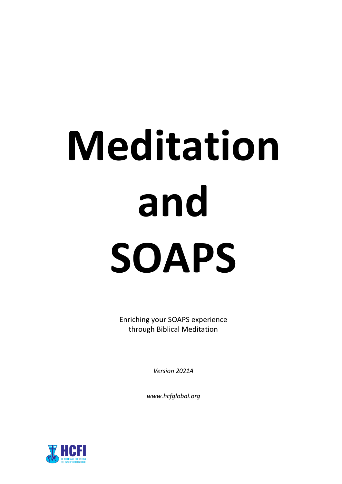# **Meditation and SOAPS**

Enriching your SOAPS experience through Biblical Meditation

*Version 2021A*

*www.hcfglobal.org*

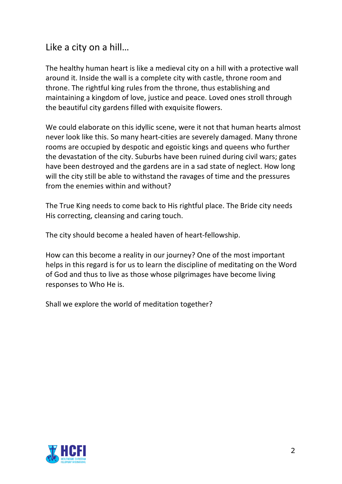Like a city on a hill…

The healthy human heart is like a medieval city on a hill with a protective wall around it. Inside the wall is a complete city with castle, throne room and throne. The rightful king rules from the throne, thus establishing and maintaining a kingdom of love, justice and peace. Loved ones stroll through the beautiful city gardens filled with exquisite flowers.

We could elaborate on this idyllic scene, were it not that human hearts almost never look like this. So many heart-cities are severely damaged. Many throne rooms are occupied by despotic and egoistic kings and queens who further the devastation of the city. Suburbs have been ruined during civil wars; gates have been destroyed and the gardens are in a sad state of neglect. How long will the city still be able to withstand the ravages of time and the pressures from the enemies within and without?

The True King needs to come back to His rightful place. The Bride city needs His correcting, cleansing and caring touch.

The city should become a healed haven of heart-fellowship.

How can this become a reality in our journey? One of the most important helps in this regard is for us to learn the discipline of meditating on the Word of God and thus to live as those whose pilgrimages have become living responses to Who He is.

Shall we explore the world of meditation together?

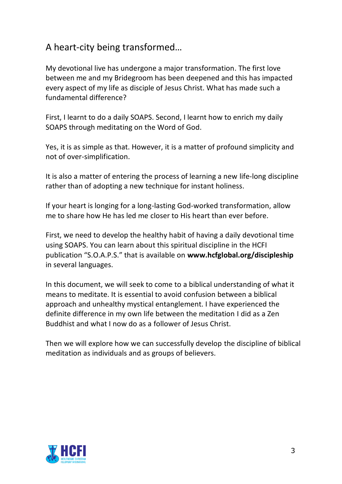## A heart-city being transformed…

My devotional live has undergone a major transformation. The first love between me and my Bridegroom has been deepened and this has impacted every aspect of my life as disciple of Jesus Christ. What has made such a fundamental difference?

First, I learnt to do a daily SOAPS. Second, I learnt how to enrich my daily SOAPS through meditating on the Word of God.

Yes, it is as simple as that. However, it is a matter of profound simplicity and not of over-simplification.

It is also a matter of entering the process of learning a new life-long discipline rather than of adopting a new technique for instant holiness.

If your heart is longing for a long-lasting God-worked transformation, allow me to share how He has led me closer to His heart than ever before.

First, we need to develop the healthy habit of having a daily devotional time using SOAPS. You can learn about this spiritual discipline in the HCFI publication "S.O.A.P.S." that is available on **www.hcfglobal.org/discipleship** in several languages.

In this document, we will seek to come to a biblical understanding of what it means to meditate. It is essential to avoid confusion between a biblical approach and unhealthy mystical entanglement. I have experienced the definite difference in my own life between the meditation I did as a Zen Buddhist and what I now do as a follower of Jesus Christ.

Then we will explore how we can successfully develop the discipline of biblical meditation as individuals and as groups of believers.

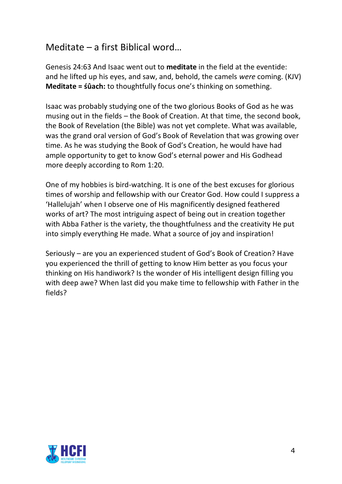## Meditate – a first Biblical word…

Genesis 24:63 And Isaac went out to **meditate** in the field at the eventide: and he lifted up his eyes, and saw, and, behold, the camels *were* coming. (KJV) **Meditate = śûach:** to thoughtfully focus one's thinking on something.

Isaac was probably studying one of the two glorious Books of God as he was musing out in the fields – the Book of Creation. At that time, the second book, the Book of Revelation (the Bible) was not yet complete. What was available, was the grand oral version of God's Book of Revelation that was growing over time. As he was studying the Book of God's Creation, he would have had ample opportunity to get to know God's eternal power and His Godhead more deeply according to Rom 1:20.

One of my hobbies is bird-watching. It is one of the best excuses for glorious times of worship and fellowship with our Creator God. How could I suppress a 'Hallelujah' when I observe one of His magnificently designed feathered works of art? The most intriguing aspect of being out in creation together with Abba Father is the variety, the thoughtfulness and the creativity He put into simply everything He made. What a source of joy and inspiration!

Seriously – are you an experienced student of God's Book of Creation? Have you experienced the thrill of getting to know Him better as you focus your thinking on His handiwork? Is the wonder of His intelligent design filling you with deep awe? When last did you make time to fellowship with Father in the fields?

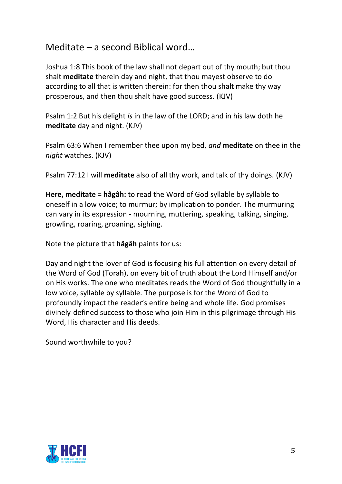### Meditate – a second Biblical word…

Joshua 1:8 This book of the law shall not depart out of thy mouth; but thou shalt **meditate** therein day and night, that thou mayest observe to do according to all that is written therein: for then thou shalt make thy way prosperous, and then thou shalt have good success. (KJV)

Psalm 1:2 But his delight *is* in the law of the LORD; and in his law doth he **meditate** day and night. (KJV)

Psalm 63:6 When I remember thee upon my bed, *and* **meditate** on thee in the *night* watches. (KJV)

Psalm 77:12 I will **meditate** also of all thy work, and talk of thy doings. (KJV)

**Here, meditate = hâgâh:** to read the Word of God syllable by syllable to oneself in a low voice; to murmur; by implication to ponder. The murmuring can vary in its expression - mourning, muttering, speaking, talking, singing, growling, roaring, groaning, sighing.

Note the picture that **hâgâh** paints for us:

Day and night the lover of God is focusing his full attention on every detail of the Word of God (Torah), on every bit of truth about the Lord Himself and/or on His works. The one who meditates reads the Word of God thoughtfully in a low voice, syllable by syllable. The purpose is for the Word of God to profoundly impact the reader's entire being and whole life. God promises divinely-defined success to those who join Him in this pilgrimage through His Word, His character and His deeds.

Sound worthwhile to you?

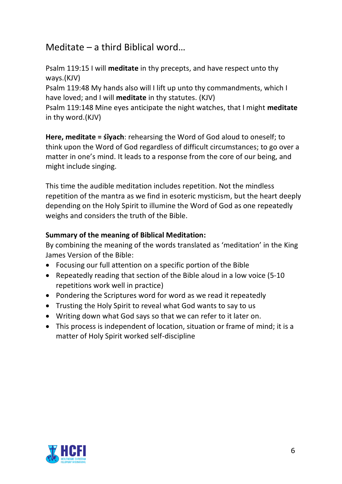#### Meditate – a third Biblical word…

Psalm 119:15 I will **meditate** in thy precepts, and have respect unto thy ways.(KJV)

Psalm 119:48 My hands also will I lift up unto thy commandments, which I have loved; and I will **meditate** in thy statutes. (KJV)

Psalm 119:148 Mine eyes anticipate the night watches, that I might **meditate** in thy word.(KJV)

**Here, meditate = śîyach**: rehearsing the Word of God aloud to oneself; to think upon the Word of God regardless of difficult circumstances; to go over a matter in one's mind. It leads to a response from the core of our being, and might include singing.

This time the audible meditation includes repetition. Not the mindless repetition of the mantra as we find in esoteric mysticism, but the heart deeply depending on the Holy Spirit to illumine the Word of God as one repeatedly weighs and considers the truth of the Bible.

#### **Summary of the meaning of Biblical Meditation:**

By combining the meaning of the words translated as 'meditation' in the King James Version of the Bible:

- Focusing our full attention on a specific portion of the Bible
- Repeatedly reading that section of the Bible aloud in a low voice (5-10 repetitions work well in practice)
- Pondering the Scriptures word for word as we read it repeatedly
- Trusting the Holy Spirit to reveal what God wants to say to us
- Writing down what God says so that we can refer to it later on.
- This process is independent of location, situation or frame of mind; it is a matter of Holy Spirit worked self-discipline

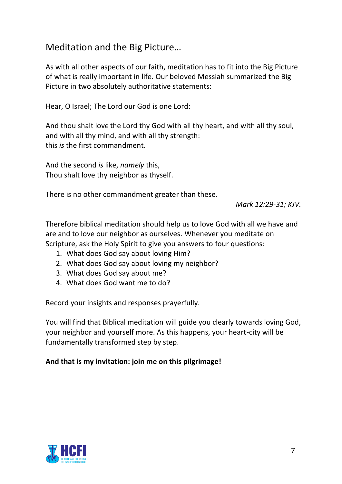#### Meditation and the Big Picture…

As with all other aspects of our faith, meditation has to fit into the Big Picture of what is really important in life. Our beloved Messiah summarized the Big Picture in two absolutely authoritative statements:

Hear, O Israel; The Lord our God is one Lord:

And thou shalt love the Lord thy God with all thy heart, and with all thy soul, and with all thy mind, and with all thy strength: this *is* the first commandment.

And the second *is* like, *namely* this, Thou shalt love thy neighbor as thyself.

There is no other commandment greater than these.

*Mark 12:29-31; KJV.*

Therefore biblical meditation should help us to love God with all we have and are and to love our neighbor as ourselves. Whenever you meditate on Scripture, ask the Holy Spirit to give you answers to four questions:

- 1. What does God say about loving Him?
- 2. What does God say about loving my neighbor?
- 3. What does God say about me?
- 4. What does God want me to do?

Record your insights and responses prayerfully.

You will find that Biblical meditation will guide you clearly towards loving God, your neighbor and yourself more. As this happens, your heart-city will be fundamentally transformed step by step.

#### **And that is my invitation: join me on this pilgrimage!**

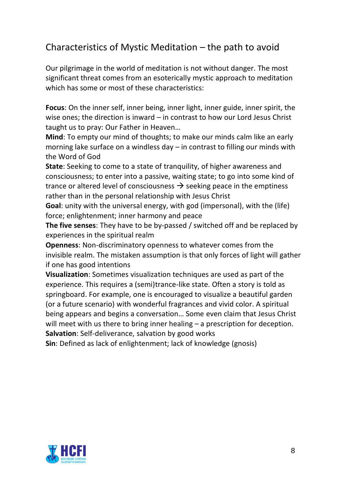## Characteristics of Mystic Meditation – the path to avoid

Our pilgrimage in the world of meditation is not without danger. The most significant threat comes from an esoterically mystic approach to meditation which has some or most of these characteristics:

**Focus**: On the inner self, inner being, inner light, inner guide, inner spirit, the wise ones; the direction is inward – in contrast to how our Lord Jesus Christ taught us to pray: Our Father in Heaven…

**Mind**: To empty our mind of thoughts; to make our minds calm like an early morning lake surface on a windless day – in contrast to filling our minds with the Word of God

**State**: Seeking to come to a state of tranquility, of higher awareness and consciousness; to enter into a passive, waiting state; to go into some kind of trance or altered level of consciousness  $\rightarrow$  seeking peace in the emptiness rather than in the personal relationship with Jesus Christ

**Goal**: unity with the universal energy, with god (impersonal), with the (life) force; enlightenment; inner harmony and peace

**The five senses**: They have to be by-passed / switched off and be replaced by experiences in the spiritual realm

**Openness**: Non-discriminatory openness to whatever comes from the invisible realm. The mistaken assumption is that only forces of light will gather if one has good intentions

**Visualization**: Sometimes visualization techniques are used as part of the experience. This requires a (semi)trance-like state. Often a story is told as springboard. For example, one is encouraged to visualize a beautiful garden (or a future scenario) with wonderful fragrances and vivid color. A spiritual being appears and begins a conversation… Some even claim that Jesus Christ will meet with us there to bring inner healing – a prescription for deception. **Salvation**: Self-deliverance, salvation by good works

**Sin**: Defined as lack of enlightenment; lack of knowledge (gnosis)

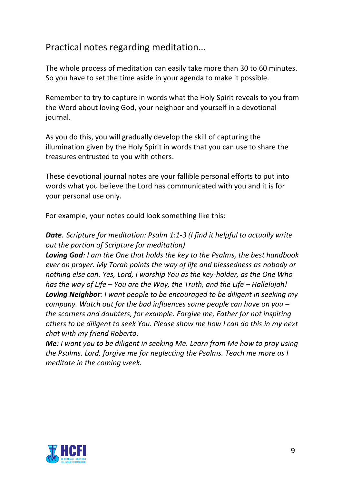## Practical notes regarding meditation…

The whole process of meditation can easily take more than 30 to 60 minutes. So you have to set the time aside in your agenda to make it possible.

Remember to try to capture in words what the Holy Spirit reveals to you from the Word about loving God, your neighbor and yourself in a devotional journal.

As you do this, you will gradually develop the skill of capturing the illumination given by the Holy Spirit in words that you can use to share the treasures entrusted to you with others.

These devotional journal notes are your fallible personal efforts to put into words what you believe the Lord has communicated with you and it is for your personal use only.

For example, your notes could look something like this:

#### *Date. Scripture for meditation: Psalm 1:1-3 (I find it helpful to actually write out the portion of Scripture for meditation)*

*Loving God: I am the One that holds the key to the Psalms, the best handbook ever on prayer. My Torah points the way of life and blessedness as nobody or nothing else can. Yes, Lord, I worship You as the key-holder, as the One Who has the way of Life – You are the Way, the Truth, and the Life – Hallelujah! Loving Neighbor: I want people to be encouraged to be diligent in seeking my company. Watch out for the bad influences some people can have on you – the scorners and doubters, for example. Forgive me, Father for not inspiring others to be diligent to seek You. Please show me how I can do this in my next chat with my friend Roberto.*

*Me: I want you to be diligent in seeking Me. Learn from Me how to pray using the Psalms. Lord, forgive me for neglecting the Psalms. Teach me more as I meditate in the coming week.*

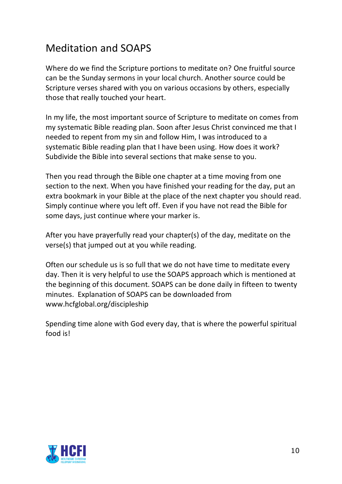# Meditation and SOAPS

Where do we find the Scripture portions to meditate on? One fruitful source can be the Sunday sermons in your local church. Another source could be Scripture verses shared with you on various occasions by others, especially those that really touched your heart.

In my life, the most important source of Scripture to meditate on comes from my systematic Bible reading plan. Soon after Jesus Christ convinced me that I needed to repent from my sin and follow Him, I was introduced to a systematic Bible reading plan that I have been using. How does it work? Subdivide the Bible into several sections that make sense to you.

Then you read through the Bible one chapter at a time moving from one section to the next. When you have finished your reading for the day, put an extra bookmark in your Bible at the place of the next chapter you should read. Simply continue where you left off. Even if you have not read the Bible for some days, just continue where your marker is.

After you have prayerfully read your chapter(s) of the day, meditate on the verse(s) that jumped out at you while reading.

Often our schedule us is so full that we do not have time to meditate every day. Then it is very helpful to use the SOAPS approach which is mentioned at the beginning of this document. SOAPS can be done daily in fifteen to twenty minutes. Explanation of SOAPS can be downloaded from www.hcfglobal.org/discipleship

Spending time alone with God every day, that is where the powerful spiritual food is!

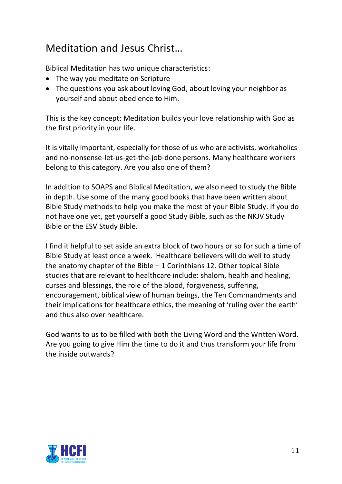# Meditation and Jesus Christ…

Biblical Meditation has two unique characteristics:

- The way you meditate on Scripture
- The questions you ask about loving God, about loving your neighbor as yourself and about obedience to Him.

This is the key concept: Meditation builds your love relationship with God as the first priority in your life.

It is vitally important, especially for those of us who are activists, workaholics and no-nonsense-let-us-get-the-job-done persons. Many healthcare workers belong to this category. Are you also one of them?

In addition to SOAPS and Biblical Meditation, we also need to study the Bible in depth. Use some of the many good books that have been written about Bible Study methods to help you make the most of your Bible Study. If you do not have one yet, get yourself a good Study Bible, such as the NKJV Study Bible or the ESV Study Bible.

I find it helpful to set aside an extra block of two hours or so for such a time of Bible Study at least once a week. Healthcare believers will do well to study the anatomy chapter of the Bible  $-1$  Corinthians 12. Other topical Bible studies that are relevant to healthcare include: shalom, health and healing, curses and blessings, the role of the blood, forgiveness, suffering, encouragement, biblical view of human beings, the Ten Commandments and their implications for healthcare ethics, the meaning of 'ruling over the earth' and thus also over healthcare.

God wants to us to be filled with both the Living Word and the Written Word. Are you going to give Him the time to do it and thus transform your life from the inside outwards?

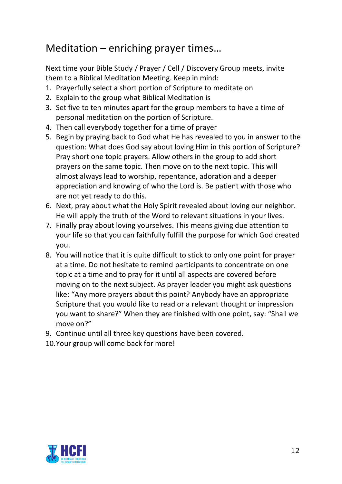## Meditation – enriching prayer times…

Next time your Bible Study / Prayer / Cell / Discovery Group meets, invite them to a Biblical Meditation Meeting. Keep in mind:

- 1. Prayerfully select a short portion of Scripture to meditate on
- 2. Explain to the group what Biblical Meditation is
- 3. Set five to ten minutes apart for the group members to have a time of personal meditation on the portion of Scripture.
- 4. Then call everybody together for a time of prayer
- 5. Begin by praying back to God what He has revealed to you in answer to the question: What does God say about loving Him in this portion of Scripture? Pray short one topic prayers. Allow others in the group to add short prayers on the same topic. Then move on to the next topic. This will almost always lead to worship, repentance, adoration and a deeper appreciation and knowing of who the Lord is. Be patient with those who are not yet ready to do this.
- 6. Next, pray about what the Holy Spirit revealed about loving our neighbor. He will apply the truth of the Word to relevant situations in your lives.
- 7. Finally pray about loving yourselves. This means giving due attention to your life so that you can faithfully fulfill the purpose for which God created you.
- 8. You will notice that it is quite difficult to stick to only one point for prayer at a time. Do not hesitate to remind participants to concentrate on one topic at a time and to pray for it until all aspects are covered before moving on to the next subject. As prayer leader you might ask questions like: "Any more prayers about this point? Anybody have an appropriate Scripture that you would like to read or a relevant thought or impression you want to share?" When they are finished with one point, say: "Shall we move on?"
- 9. Continue until all three key questions have been covered.
- 10.Your group will come back for more!